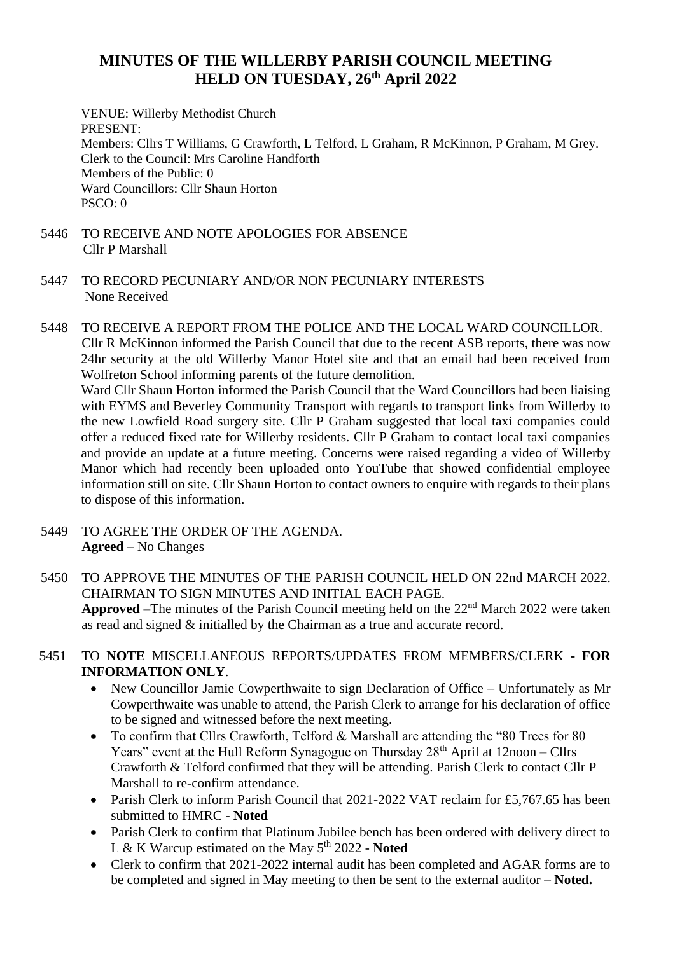## **MINUTES OF THE WILLERBY PARISH COUNCIL MEETING HELD ON TUESDAY, 26th April 2022**

VENUE: Willerby Methodist Church PRESENT: Members: Cllrs T Williams, G Crawforth, L Telford, L Graham, R McKinnon, P Graham, M Grey. Clerk to the Council: Mrs Caroline Handforth Members of the Public: 0 Ward Councillors: Cllr Shaun Horton PSCO: 0

- 5446 TO RECEIVE AND NOTE APOLOGIES FOR ABSENCE Cllr P Marshall
- 5447 TO RECORD PECUNIARY AND/OR NON PECUNIARY INTERESTS None Received

5448 TO RECEIVE A REPORT FROM THE POLICE AND THE LOCAL WARD COUNCILLOR. Cllr R McKinnon informed the Parish Council that due to the recent ASB reports, there was now 24hr security at the old Willerby Manor Hotel site and that an email had been received from Wolfreton School informing parents of the future demolition. Ward Cllr Shaun Horton informed the Parish Council that the Ward Councillors had been liaising with EYMS and Beverley Community Transport with regards to transport links from Willerby to the new Lowfield Road surgery site. Cllr P Graham suggested that local taxi companies could offer a reduced fixed rate for Willerby residents. Cllr P Graham to contact local taxi companies and provide an update at a future meeting. Concerns were raised regarding a video of Willerby Manor which had recently been uploaded onto YouTube that showed confidential employee information still on site. Cllr Shaun Horton to contact owners to enquire with regards to their plans to dispose of this information.

- 5449 TO AGREE THE ORDER OF THE AGENDA. **Agreed** – No Changes
- 5450 TO APPROVE THE MINUTES OF THE PARISH COUNCIL HELD ON 22nd MARCH 2022. CHAIRMAN TO SIGN MINUTES AND INITIAL EACH PAGE. Approved –The minutes of the Parish Council meeting held on the 22<sup>nd</sup> March 2022 were taken as read and signed & initialled by the Chairman as a true and accurate record.
- 5451 TO **NOTE** MISCELLANEOUS REPORTS/UPDATES FROM MEMBERS/CLERK **- FOR INFORMATION ONLY**.
	- New Councillor Jamie Cowperthwaite to sign Declaration of Office Unfortunately as Mr Cowperthwaite was unable to attend, the Parish Clerk to arrange for his declaration of office to be signed and witnessed before the next meeting.
	- To confirm that Cllrs Crawforth, Telford & Marshall are attending the "80 Trees for 80 Years" event at the Hull Reform Synagogue on Thursday 28<sup>th</sup> April at 12noon – Cllrs Crawforth & Telford confirmed that they will be attending. Parish Clerk to contact Cllr P Marshall to re-confirm attendance.
	- Parish Clerk to inform Parish Council that 2021-2022 VAT reclaim for £5,767.65 has been submitted to HMRC - **Noted**
	- Parish Clerk to confirm that Platinum Jubilee bench has been ordered with delivery direct to L & K Warcup estimated on the May 5th 2022 - **Noted**
	- Clerk to confirm that 2021-2022 internal audit has been completed and AGAR forms are to be completed and signed in May meeting to then be sent to the external auditor – **Noted.**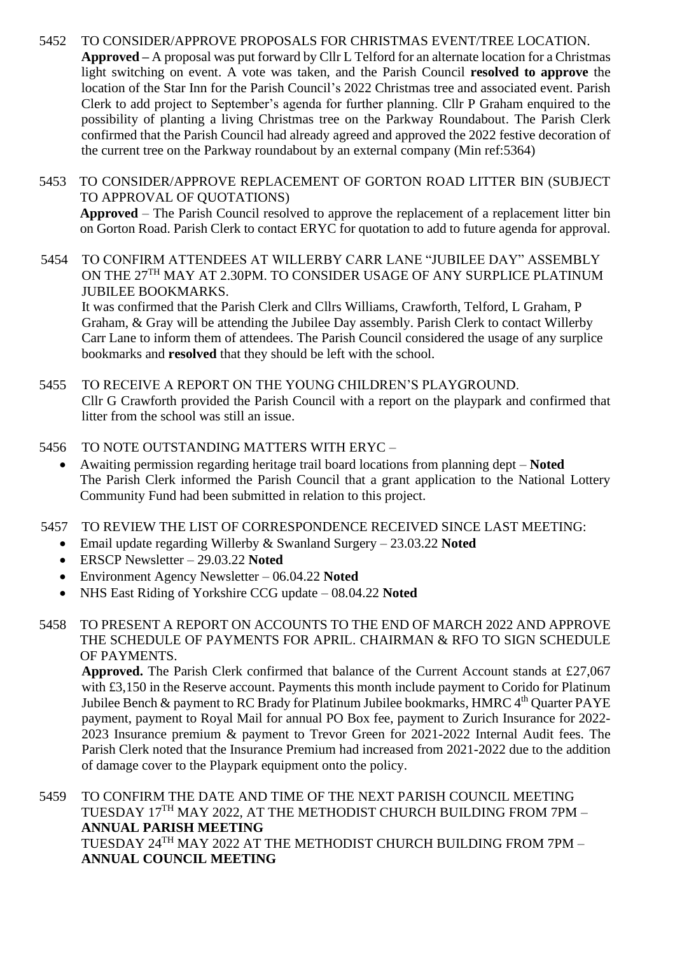- 5452 TO CONSIDER/APPROVE PROPOSALS FOR CHRISTMAS EVENT/TREE LOCATION. **Approved –** A proposal was put forward by Cllr L Telford for an alternate location for a Christmas light switching on event. A vote was taken, and the Parish Council **resolved to approve** the location of the Star Inn for the Parish Council's 2022 Christmas tree and associated event. Parish Clerk to add project to September's agenda for further planning. Cllr P Graham enquired to the possibility of planting a living Christmas tree on the Parkway Roundabout. The Parish Clerk confirmed that the Parish Council had already agreed and approved the 2022 festive decoration of the current tree on the Parkway roundabout by an external company (Min ref:5364)
- 5453 TO CONSIDER/APPROVE REPLACEMENT OF GORTON ROAD LITTER BIN (SUBJECT TO APPROVAL OF QUOTATIONS) **Approved** – The Parish Council resolved to approve the replacement of a replacement litter bin on Gorton Road. Parish Clerk to contact ERYC for quotation to add to future agenda for approval.

5454 TO CONFIRM ATTENDEES AT WILLERBY CARR LANE "JUBILEE DAY" ASSEMBLY ON THE 27TH MAY AT 2.30PM. TO CONSIDER USAGE OF ANY SURPLICE PLATINUM JUBILEE BOOKMARKS.

It was confirmed that the Parish Clerk and Cllrs Williams, Crawforth, Telford, L Graham, P Graham, & Gray will be attending the Jubilee Day assembly. Parish Clerk to contact Willerby Carr Lane to inform them of attendees. The Parish Council considered the usage of any surplice bookmarks and **resolved** that they should be left with the school.

- 5455 TO RECEIVE A REPORT ON THE YOUNG CHILDREN'S PLAYGROUND. Cllr G Crawforth provided the Parish Council with a report on the playpark and confirmed that litter from the school was still an issue.
- 5456 TO NOTE OUTSTANDING MATTERS WITH ERYC
	- Awaiting permission regarding heritage trail board locations from planning dept **Noted** The Parish Clerk informed the Parish Council that a grant application to the National Lottery Community Fund had been submitted in relation to this project.
- 5457 TO REVIEW THE LIST OF CORRESPONDENCE RECEIVED SINCE LAST MEETING:
	- Email update regarding Willerby & Swanland Surgery 23.03.22 **Noted**
	- ERSCP Newsletter 29.03.22 **Noted**
	- Environment Agency Newsletter 06.04.22 **Noted**
	- NHS East Riding of Yorkshire CCG update 08.04.22 **Noted**
- 5458 TO PRESENT A REPORT ON ACCOUNTS TO THE END OF MARCH 2022 AND APPROVE THE SCHEDULE OF PAYMENTS FOR APRIL. CHAIRMAN & RFO TO SIGN SCHEDULE OF PAYMENTS.

**Approved.** The Parish Clerk confirmed that balance of the Current Account stands at £27,067 with £3,150 in the Reserve account. Payments this month include payment to Corido for Platinum Jubilee Bench & payment to RC Brady for Platinum Jubilee bookmarks, HMRC 4<sup>th</sup> Quarter PAYE payment, payment to Royal Mail for annual PO Box fee, payment to Zurich Insurance for 2022- 2023 Insurance premium & payment to Trevor Green for 2021-2022 Internal Audit fees. The Parish Clerk noted that the Insurance Premium had increased from 2021-2022 due to the addition of damage cover to the Playpark equipment onto the policy.

5459 TO CONFIRM THE DATE AND TIME OF THE NEXT PARISH COUNCIL MEETING TUESDAY 17TH MAY 2022, AT THE METHODIST CHURCH BUILDING FROM 7PM – **ANNUAL PARISH MEETING** TUESDAY 24TH MAY 2022 AT THE METHODIST CHURCH BUILDING FROM 7PM – **ANNUAL COUNCIL MEETING**